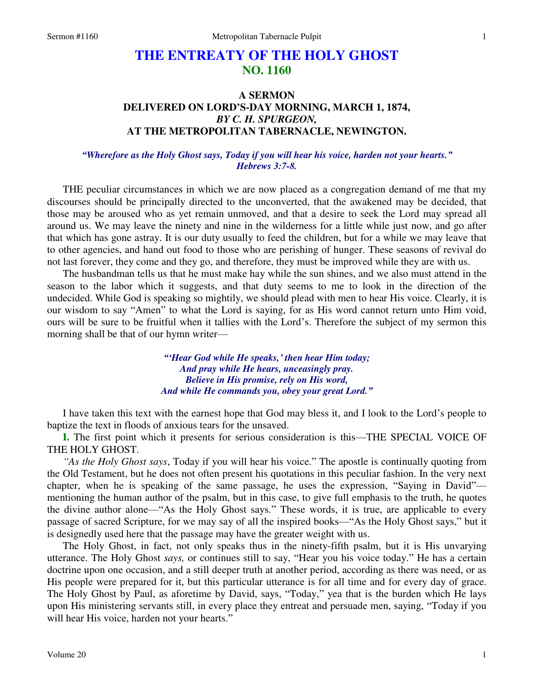#### 1

# **THE ENTREATY OF THE HOLY GHOST NO. 1160**

## **A SERMON DELIVERED ON LORD'S-DAY MORNING, MARCH 1, 1874,**  *BY C. H. SPURGEON,*  **AT THE METROPOLITAN TABERNACLE, NEWINGTON.**

### *"Wherefore as the Holy Ghost says, Today if you will hear his voice, harden not your hearts." Hebrews 3:7-8.*

THE peculiar circumstances in which we are now placed as a congregation demand of me that my discourses should be principally directed to the unconverted, that the awakened may be decided, that those may be aroused who as yet remain unmoved, and that a desire to seek the Lord may spread all around us. We may leave the ninety and nine in the wilderness for a little while just now, and go after that which has gone astray. It is our duty usually to feed the children, but for a while we may leave that to other agencies, and hand out food to those who are perishing of hunger. These seasons of revival do not last forever, they come and they go, and therefore, they must be improved while they are with us.

The husbandman tells us that he must make hay while the sun shines, and we also must attend in the season to the labor which it suggests, and that duty seems to me to look in the direction of the undecided. While God is speaking so mightily, we should plead with men to hear His voice. Clearly, it is our wisdom to say "Amen" to what the Lord is saying, for as His word cannot return unto Him void, ours will be sure to be fruitful when it tallies with the Lord's. Therefore the subject of my sermon this morning shall be that of our hymn writer—

> *"'Hear God while He speaks,' then hear Him today; And pray while He hears, unceasingly pray. Believe in His promise, rely on His word, And while He commands you, obey your great Lord."*

 I have taken this text with the earnest hope that God may bless it, and I look to the Lord's people to baptize the text in floods of anxious tears for the unsaved.

**I.** The first point which it presents for serious consideration is this—THE SPECIAL VOICE OF THE HOLY GHOST.

*"As the Holy Ghost says*, Today if you will hear his voice." The apostle is continually quoting from the Old Testament, but he does not often present his quotations in this peculiar fashion. In the very next chapter, when he is speaking of the same passage, he uses the expression, "Saying in David" mentioning the human author of the psalm, but in this case, to give full emphasis to the truth, he quotes the divine author alone—"As the Holy Ghost says." These words, it is true, are applicable to every passage of sacred Scripture, for we may say of all the inspired books—"As the Holy Ghost says," but it is designedly used here that the passage may have the greater weight with us.

The Holy Ghost, in fact, not only speaks thus in the ninety-fifth psalm, but it is His unvarying utterance. The Holy Ghost *says,* or continues still to say, "Hear you his voice today." He has a certain doctrine upon one occasion, and a still deeper truth at another period, according as there was need, or as His people were prepared for it, but this particular utterance is for all time and for every day of grace. The Holy Ghost by Paul, as aforetime by David, says, "Today," yea that is the burden which He lays upon His ministering servants still, in every place they entreat and persuade men, saying, "Today if you will hear His voice, harden not your hearts."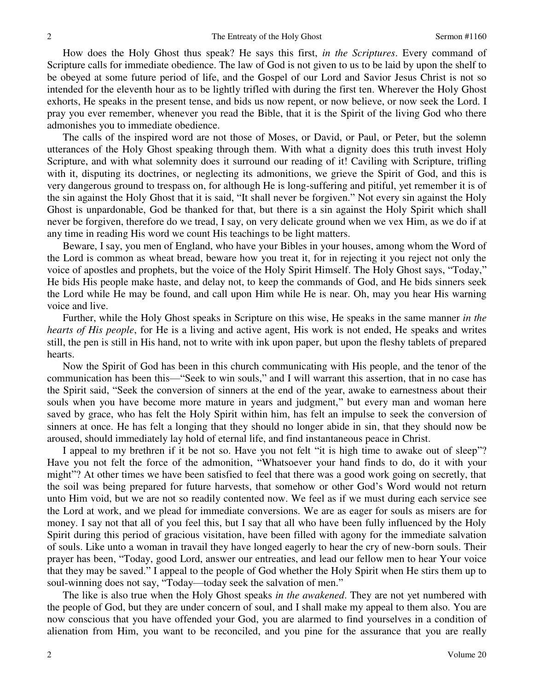How does the Holy Ghost thus speak? He says this first, *in the Scriptures*. Every command of Scripture calls for immediate obedience. The law of God is not given to us to be laid by upon the shelf to be obeyed at some future period of life, and the Gospel of our Lord and Savior Jesus Christ is not so intended for the eleventh hour as to be lightly trifled with during the first ten. Wherever the Holy Ghost exhorts, He speaks in the present tense, and bids us now repent, or now believe, or now seek the Lord. I pray you ever remember, whenever you read the Bible, that it is the Spirit of the living God who there admonishes you to immediate obedience.

The calls of the inspired word are not those of Moses, or David, or Paul, or Peter, but the solemn utterances of the Holy Ghost speaking through them. With what a dignity does this truth invest Holy Scripture, and with what solemnity does it surround our reading of it! Caviling with Scripture, trifling with it, disputing its doctrines, or neglecting its admonitions, we grieve the Spirit of God, and this is very dangerous ground to trespass on, for although He is long-suffering and pitiful, yet remember it is of the sin against the Holy Ghost that it is said, "It shall never be forgiven." Not every sin against the Holy Ghost is unpardonable, God be thanked for that, but there is a sin against the Holy Spirit which shall never be forgiven, therefore do we tread, I say, on very delicate ground when we vex Him, as we do if at any time in reading His word we count His teachings to be light matters.

Beware, I say, you men of England, who have your Bibles in your houses, among whom the Word of the Lord is common as wheat bread, beware how you treat it, for in rejecting it you reject not only the voice of apostles and prophets, but the voice of the Holy Spirit Himself. The Holy Ghost says, "Today," He bids His people make haste, and delay not, to keep the commands of God, and He bids sinners seek the Lord while He may be found, and call upon Him while He is near. Oh, may you hear His warning voice and live.

Further, while the Holy Ghost speaks in Scripture on this wise, He speaks in the same manner *in the hearts of His people*, for He is a living and active agent, His work is not ended, He speaks and writes still, the pen is still in His hand, not to write with ink upon paper, but upon the fleshy tablets of prepared hearts.

Now the Spirit of God has been in this church communicating with His people, and the tenor of the communication has been this—"Seek to win souls," and I will warrant this assertion, that in no case has the Spirit said, "Seek the conversion of sinners at the end of the year, awake to earnestness about their souls when you have become more mature in years and judgment," but every man and woman here saved by grace, who has felt the Holy Spirit within him, has felt an impulse to seek the conversion of sinners at once. He has felt a longing that they should no longer abide in sin, that they should now be aroused, should immediately lay hold of eternal life, and find instantaneous peace in Christ.

I appeal to my brethren if it be not so. Have you not felt "it is high time to awake out of sleep"? Have you not felt the force of the admonition, "Whatsoever your hand finds to do, do it with your might"? At other times we have been satisfied to feel that there was a good work going on secretly, that the soil was being prepared for future harvests, that somehow or other God's Word would not return unto Him void, but we are not so readily contented now. We feel as if we must during each service see the Lord at work, and we plead for immediate conversions. We are as eager for souls as misers are for money. I say not that all of you feel this, but I say that all who have been fully influenced by the Holy Spirit during this period of gracious visitation, have been filled with agony for the immediate salvation of souls. Like unto a woman in travail they have longed eagerly to hear the cry of new-born souls. Their prayer has been, "Today, good Lord, answer our entreaties, and lead our fellow men to hear Your voice that they may be saved." I appeal to the people of God whether the Holy Spirit when He stirs them up to soul-winning does not say, "Today—today seek the salvation of men."

The like is also true when the Holy Ghost speaks *in the awakened*. They are not yet numbered with the people of God, but they are under concern of soul, and I shall make my appeal to them also. You are now conscious that you have offended your God, you are alarmed to find yourselves in a condition of alienation from Him, you want to be reconciled, and you pine for the assurance that you are really

2

2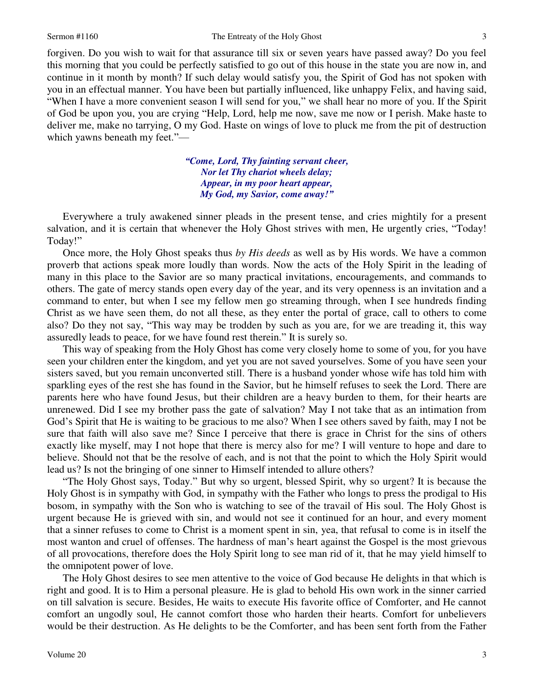forgiven. Do you wish to wait for that assurance till six or seven years have passed away? Do you feel this morning that you could be perfectly satisfied to go out of this house in the state you are now in, and continue in it month by month? If such delay would satisfy you, the Spirit of God has not spoken with you in an effectual manner. You have been but partially influenced, like unhappy Felix, and having said, "When I have a more convenient season I will send for you," we shall hear no more of you. If the Spirit of God be upon you, you are crying "Help, Lord, help me now, save me now or I perish. Make haste to deliver me, make no tarrying, O my God. Haste on wings of love to pluck me from the pit of destruction which yawns beneath my feet."—

> *"Come, Lord, Thy fainting servant cheer, Nor let Thy chariot wheels delay; Appear, in my poor heart appear, My God, my Savior, come away!"*

Everywhere a truly awakened sinner pleads in the present tense, and cries mightily for a present salvation, and it is certain that whenever the Holy Ghost strives with men, He urgently cries, "Today! Today!"

Once more, the Holy Ghost speaks thus *by His deeds* as well as by His words. We have a common proverb that actions speak more loudly than words. Now the acts of the Holy Spirit in the leading of many in this place to the Savior are so many practical invitations, encouragements, and commands to others. The gate of mercy stands open every day of the year, and its very openness is an invitation and a command to enter, but when I see my fellow men go streaming through, when I see hundreds finding Christ as we have seen them, do not all these, as they enter the portal of grace, call to others to come also? Do they not say, "This way may be trodden by such as you are, for we are treading it, this way assuredly leads to peace, for we have found rest therein." It is surely so.

This way of speaking from the Holy Ghost has come very closely home to some of you, for you have seen your children enter the kingdom, and yet you are not saved yourselves. Some of you have seen your sisters saved, but you remain unconverted still. There is a husband yonder whose wife has told him with sparkling eyes of the rest she has found in the Savior, but he himself refuses to seek the Lord. There are parents here who have found Jesus, but their children are a heavy burden to them, for their hearts are unrenewed. Did I see my brother pass the gate of salvation? May I not take that as an intimation from God's Spirit that He is waiting to be gracious to me also? When I see others saved by faith, may I not be sure that faith will also save me? Since I perceive that there is grace in Christ for the sins of others exactly like myself, may I not hope that there is mercy also for me? I will venture to hope and dare to believe. Should not that be the resolve of each, and is not that the point to which the Holy Spirit would lead us? Is not the bringing of one sinner to Himself intended to allure others?

"The Holy Ghost says, Today." But why so urgent, blessed Spirit, why so urgent? It is because the Holy Ghost is in sympathy with God, in sympathy with the Father who longs to press the prodigal to His bosom, in sympathy with the Son who is watching to see of the travail of His soul. The Holy Ghost is urgent because He is grieved with sin, and would not see it continued for an hour, and every moment that a sinner refuses to come to Christ is a moment spent in sin, yea, that refusal to come is in itself the most wanton and cruel of offenses. The hardness of man's heart against the Gospel is the most grievous of all provocations, therefore does the Holy Spirit long to see man rid of it, that he may yield himself to the omnipotent power of love.

The Holy Ghost desires to see men attentive to the voice of God because He delights in that which is right and good. It is to Him a personal pleasure. He is glad to behold His own work in the sinner carried on till salvation is secure. Besides, He waits to execute His favorite office of Comforter, and He cannot comfort an ungodly soul, He cannot comfort those who harden their hearts. Comfort for unbelievers would be their destruction. As He delights to be the Comforter, and has been sent forth from the Father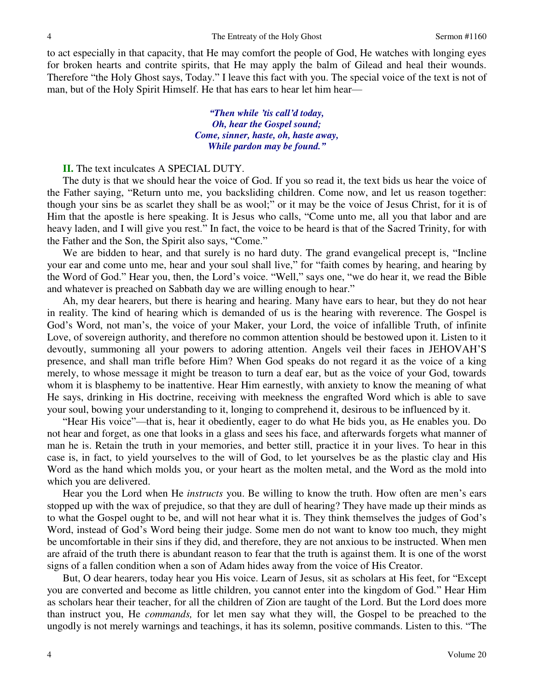to act especially in that capacity, that He may comfort the people of God, He watches with longing eyes for broken hearts and contrite spirits, that He may apply the balm of Gilead and heal their wounds. Therefore "the Holy Ghost says, Today." I leave this fact with you. The special voice of the text is not of man, but of the Holy Spirit Himself. He that has ears to hear let him hear—

> *"Then while 'tis call'd today, Oh, hear the Gospel sound; Come, sinner, haste, oh, haste away, While pardon may be found."*

#### **II.** The text inculcates A SPECIAL DUTY.

The duty is that we should hear the voice of God. If you so read it, the text bids us hear the voice of the Father saying, "Return unto me, you backsliding children. Come now, and let us reason together: though your sins be as scarlet they shall be as wool;" or it may be the voice of Jesus Christ, for it is of Him that the apostle is here speaking. It is Jesus who calls, "Come unto me, all you that labor and are heavy laden, and I will give you rest." In fact, the voice to be heard is that of the Sacred Trinity, for with the Father and the Son, the Spirit also says, "Come."

We are bidden to hear, and that surely is no hard duty. The grand evangelical precept is, "Incline your ear and come unto me, hear and your soul shall live," for "faith comes by hearing, and hearing by the Word of God." Hear you, then, the Lord's voice. "Well," says one, "we do hear it, we read the Bible and whatever is preached on Sabbath day we are willing enough to hear."

Ah, my dear hearers, but there is hearing and hearing. Many have ears to hear, but they do not hear in reality. The kind of hearing which is demanded of us is the hearing with reverence. The Gospel is God's Word, not man's, the voice of your Maker, your Lord, the voice of infallible Truth, of infinite Love, of sovereign authority, and therefore no common attention should be bestowed upon it. Listen to it devoutly, summoning all your powers to adoring attention. Angels veil their faces in JEHOVAH'S presence, and shall man trifle before Him? When God speaks do not regard it as the voice of a king merely, to whose message it might be treason to turn a deaf ear, but as the voice of your God, towards whom it is blasphemy to be inattentive. Hear Him earnestly, with anxiety to know the meaning of what He says, drinking in His doctrine, receiving with meekness the engrafted Word which is able to save your soul, bowing your understanding to it, longing to comprehend it, desirous to be influenced by it.

"Hear His voice"—that is, hear it obediently, eager to do what He bids you, as He enables you. Do not hear and forget, as one that looks in a glass and sees his face, and afterwards forgets what manner of man he is. Retain the truth in your memories, and better still, practice it in your lives. To hear in this case is, in fact, to yield yourselves to the will of God, to let yourselves be as the plastic clay and His Word as the hand which molds you, or your heart as the molten metal, and the Word as the mold into which you are delivered.

Hear you the Lord when He *instructs* you. Be willing to know the truth. How often are men's ears stopped up with the wax of prejudice, so that they are dull of hearing? They have made up their minds as to what the Gospel ought to be, and will not hear what it is. They think themselves the judges of God's Word, instead of God's Word being their judge. Some men do not want to know too much, they might be uncomfortable in their sins if they did, and therefore, they are not anxious to be instructed. When men are afraid of the truth there is abundant reason to fear that the truth is against them. It is one of the worst signs of a fallen condition when a son of Adam hides away from the voice of His Creator.

But, O dear hearers, today hear you His voice. Learn of Jesus, sit as scholars at His feet, for "Except you are converted and become as little children, you cannot enter into the kingdom of God." Hear Him as scholars hear their teacher, for all the children of Zion are taught of the Lord. But the Lord does more than instruct you, He *commands,* for let men say what they will, the Gospel to be preached to the ungodly is not merely warnings and teachings, it has its solemn, positive commands. Listen to this. "The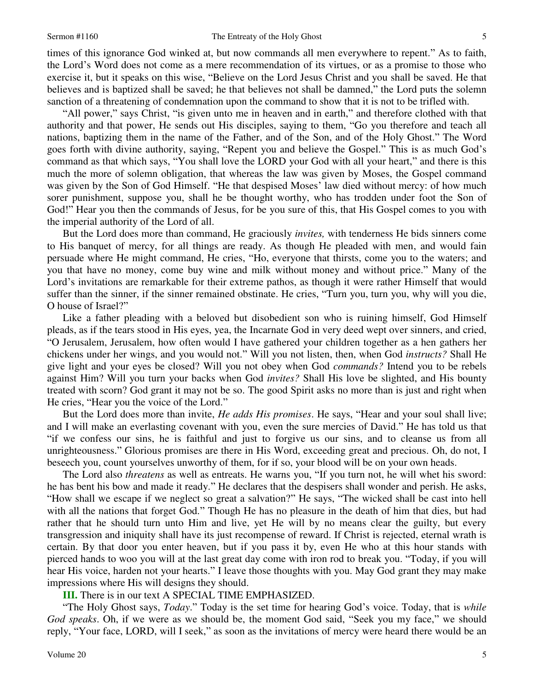times of this ignorance God winked at, but now commands all men everywhere to repent." As to faith, the Lord's Word does not come as a mere recommendation of its virtues, or as a promise to those who exercise it, but it speaks on this wise, "Believe on the Lord Jesus Christ and you shall be saved. He that believes and is baptized shall be saved; he that believes not shall be damned," the Lord puts the solemn sanction of a threatening of condemnation upon the command to show that it is not to be trifled with.

"All power," says Christ, "is given unto me in heaven and in earth," and therefore clothed with that authority and that power, He sends out His disciples, saying to them, "Go you therefore and teach all nations, baptizing them in the name of the Father, and of the Son, and of the Holy Ghost." The Word goes forth with divine authority, saying, "Repent you and believe the Gospel." This is as much God's command as that which says, "You shall love the LORD your God with all your heart," and there is this much the more of solemn obligation, that whereas the law was given by Moses, the Gospel command was given by the Son of God Himself. "He that despised Moses' law died without mercy: of how much sorer punishment, suppose you, shall he be thought worthy, who has trodden under foot the Son of God!" Hear you then the commands of Jesus, for be you sure of this, that His Gospel comes to you with the imperial authority of the Lord of all.

But the Lord does more than command, He graciously *invites,* with tenderness He bids sinners come to His banquet of mercy, for all things are ready. As though He pleaded with men, and would fain persuade where He might command, He cries, "Ho, everyone that thirsts, come you to the waters; and you that have no money, come buy wine and milk without money and without price." Many of the Lord's invitations are remarkable for their extreme pathos, as though it were rather Himself that would suffer than the sinner, if the sinner remained obstinate. He cries, "Turn you, turn you, why will you die, O house of Israel?"

Like a father pleading with a beloved but disobedient son who is ruining himself, God Himself pleads, as if the tears stood in His eyes, yea, the Incarnate God in very deed wept over sinners, and cried, "O Jerusalem, Jerusalem, how often would I have gathered your children together as a hen gathers her chickens under her wings, and you would not." Will you not listen, then, when God *instructs?* Shall He give light and your eyes be closed? Will you not obey when God *commands?* Intend you to be rebels against Him? Will you turn your backs when God *invites?* Shall His love be slighted, and His bounty treated with scorn? God grant it may not be so. The good Spirit asks no more than is just and right when He cries, "Hear you the voice of the Lord."

But the Lord does more than invite, *He adds His promises*. He says, "Hear and your soul shall live; and I will make an everlasting covenant with you, even the sure mercies of David." He has told us that "if we confess our sins, he is faithful and just to forgive us our sins, and to cleanse us from all unrighteousness." Glorious promises are there in His Word, exceeding great and precious. Oh, do not, I beseech you, count yourselves unworthy of them, for if so, your blood will be on your own heads.

The Lord also *threatens* as well as entreats. He warns you, "If you turn not, he will whet his sword: he has bent his bow and made it ready." He declares that the despisers shall wonder and perish. He asks, "How shall we escape if we neglect so great a salvation?" He says, "The wicked shall be cast into hell with all the nations that forget God." Though He has no pleasure in the death of him that dies, but had rather that he should turn unto Him and live, yet He will by no means clear the guilty, but every transgression and iniquity shall have its just recompense of reward. If Christ is rejected, eternal wrath is certain. By that door you enter heaven, but if you pass it by, even He who at this hour stands with pierced hands to woo you will at the last great day come with iron rod to break you. "Today, if you will hear His voice, harden not your hearts." I leave those thoughts with you. May God grant they may make impressions where His will designs they should.

**III.** There is in our text A SPECIAL TIME EMPHASIZED.

"The Holy Ghost says, *Today*." Today is the set time for hearing God's voice. Today, that is *while God speaks*. Oh, if we were as we should be, the moment God said, "Seek you my face," we should reply, "Your face, LORD, will I seek," as soon as the invitations of mercy were heard there would be an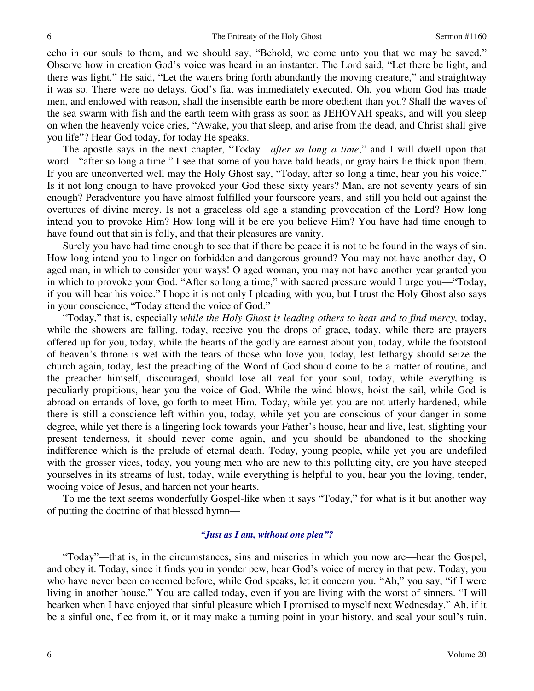echo in our souls to them, and we should say, "Behold, we come unto you that we may be saved." Observe how in creation God's voice was heard in an instanter. The Lord said, "Let there be light, and there was light." He said, "Let the waters bring forth abundantly the moving creature," and straightway it was so. There were no delays. God's fiat was immediately executed. Oh, you whom God has made men, and endowed with reason, shall the insensible earth be more obedient than you? Shall the waves of the sea swarm with fish and the earth teem with grass as soon as JEHOVAH speaks, and will you sleep on when the heavenly voice cries, "Awake, you that sleep, and arise from the dead, and Christ shall give you life"? Hear God today, for today He speaks.

The apostle says in the next chapter, "Today—*after so long a time*," and I will dwell upon that word—"after so long a time." I see that some of you have bald heads, or gray hairs lie thick upon them. If you are unconverted well may the Holy Ghost say, "Today, after so long a time, hear you his voice." Is it not long enough to have provoked your God these sixty years? Man, are not seventy years of sin enough? Peradventure you have almost fulfilled your fourscore years, and still you hold out against the overtures of divine mercy. Is not a graceless old age a standing provocation of the Lord? How long intend you to provoke Him? How long will it be ere you believe Him? You have had time enough to have found out that sin is folly, and that their pleasures are vanity.

Surely you have had time enough to see that if there be peace it is not to be found in the ways of sin. How long intend you to linger on forbidden and dangerous ground? You may not have another day, O aged man, in which to consider your ways! O aged woman, you may not have another year granted you in which to provoke your God. "After so long a time," with sacred pressure would I urge you—"Today, if you will hear his voice." I hope it is not only I pleading with you, but I trust the Holy Ghost also says in your conscience, "Today attend the voice of God."

"Today," that is, especially *while the Holy Ghost is leading others to hear and to find mercy,* today, while the showers are falling, today, receive you the drops of grace, today, while there are prayers offered up for you, today, while the hearts of the godly are earnest about you, today, while the footstool of heaven's throne is wet with the tears of those who love you, today, lest lethargy should seize the church again, today, lest the preaching of the Word of God should come to be a matter of routine, and the preacher himself, discouraged, should lose all zeal for your soul, today, while everything is peculiarly propitious, hear you the voice of God. While the wind blows, hoist the sail, while God is abroad on errands of love, go forth to meet Him. Today, while yet you are not utterly hardened, while there is still a conscience left within you, today, while yet you are conscious of your danger in some degree, while yet there is a lingering look towards your Father's house, hear and live, lest, slighting your present tenderness, it should never come again, and you should be abandoned to the shocking indifference which is the prelude of eternal death. Today, young people, while yet you are undefiled with the grosser vices, today, you young men who are new to this polluting city, ere you have steeped yourselves in its streams of lust, today, while everything is helpful to you, hear you the loving, tender, wooing voice of Jesus, and harden not your hearts.

To me the text seems wonderfully Gospel-like when it says "Today," for what is it but another way of putting the doctrine of that blessed hymn—

#### *"Just as I am, without one plea"?*

"Today"—that is, in the circumstances, sins and miseries in which you now are—hear the Gospel, and obey it. Today, since it finds you in yonder pew, hear God's voice of mercy in that pew. Today, you who have never been concerned before, while God speaks, let it concern you. "Ah," you say, "if I were living in another house." You are called today, even if you are living with the worst of sinners. "I will hearken when I have enjoyed that sinful pleasure which I promised to myself next Wednesday." Ah, if it be a sinful one, flee from it, or it may make a turning point in your history, and seal your soul's ruin.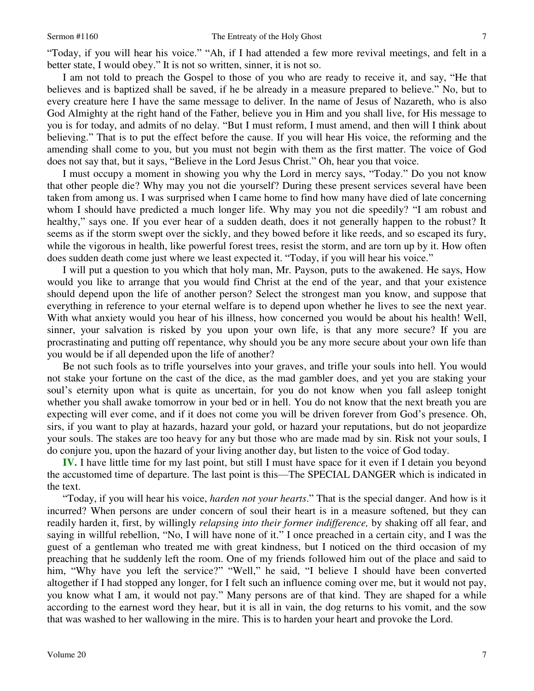"Today, if you will hear his voice." "Ah, if I had attended a few more revival meetings, and felt in a better state, I would obey." It is not so written, sinner, it is not so.

 I am not told to preach the Gospel to those of you who are ready to receive it, and say, "He that believes and is baptized shall be saved, if he be already in a measure prepared to believe." No, but to every creature here I have the same message to deliver. In the name of Jesus of Nazareth, who is also God Almighty at the right hand of the Father, believe you in Him and you shall live, for His message to you is for today, and admits of no delay. "But I must reform, I must amend, and then will I think about believing." That is to put the effect before the cause. If you will hear His voice, the reforming and the amending shall come to you, but you must not begin with them as the first matter. The voice of God does not say that, but it says, "Believe in the Lord Jesus Christ." Oh, hear you that voice.

 I must occupy a moment in showing you why the Lord in mercy says, "Today." Do you not know that other people die? Why may you not die yourself? During these present services several have been taken from among us. I was surprised when I came home to find how many have died of late concerning whom I should have predicted a much longer life. Why may you not die speedily? "I am robust and healthy," says one. If you ever hear of a sudden death, does it not generally happen to the robust? It seems as if the storm swept over the sickly, and they bowed before it like reeds, and so escaped its fury, while the vigorous in health, like powerful forest trees, resist the storm, and are torn up by it. How often does sudden death come just where we least expected it. "Today, if you will hear his voice."

I will put a question to you which that holy man, Mr. Payson, puts to the awakened. He says, How would you like to arrange that you would find Christ at the end of the year, and that your existence should depend upon the life of another person? Select the strongest man you know, and suppose that everything in reference to your eternal welfare is to depend upon whether he lives to see the next year. With what anxiety would you hear of his illness, how concerned you would be about his health! Well, sinner, your salvation is risked by you upon your own life, is that any more secure? If you are procrastinating and putting off repentance, why should you be any more secure about your own life than you would be if all depended upon the life of another?

Be not such fools as to trifle yourselves into your graves, and trifle your souls into hell. You would not stake your fortune on the cast of the dice, as the mad gambler does, and yet you are staking your soul's eternity upon what is quite as uncertain, for you do not know when you fall asleep tonight whether you shall awake tomorrow in your bed or in hell. You do not know that the next breath you are expecting will ever come, and if it does not come you will be driven forever from God's presence. Oh, sirs, if you want to play at hazards, hazard your gold, or hazard your reputations, but do not jeopardize your souls. The stakes are too heavy for any but those who are made mad by sin. Risk not your souls, I do conjure you, upon the hazard of your living another day, but listen to the voice of God today.

**IV.** I have little time for my last point, but still I must have space for it even if I detain you beyond the accustomed time of departure. The last point is this—The SPECIAL DANGER which is indicated in the text.

"Today, if you will hear his voice, *harden not your hearts*." That is the special danger. And how is it incurred? When persons are under concern of soul their heart is in a measure softened, but they can readily harden it, first, by willingly *relapsing into their former indifference,* by shaking off all fear, and saying in willful rebellion, "No, I will have none of it." I once preached in a certain city, and I was the guest of a gentleman who treated me with great kindness, but I noticed on the third occasion of my preaching that he suddenly left the room. One of my friends followed him out of the place and said to him, "Why have you left the service?" "Well," he said, "I believe I should have been converted altogether if I had stopped any longer, for I felt such an influence coming over me, but it would not pay, you know what I am, it would not pay." Many persons are of that kind. They are shaped for a while according to the earnest word they hear, but it is all in vain, the dog returns to his vomit, and the sow that was washed to her wallowing in the mire. This is to harden your heart and provoke the Lord.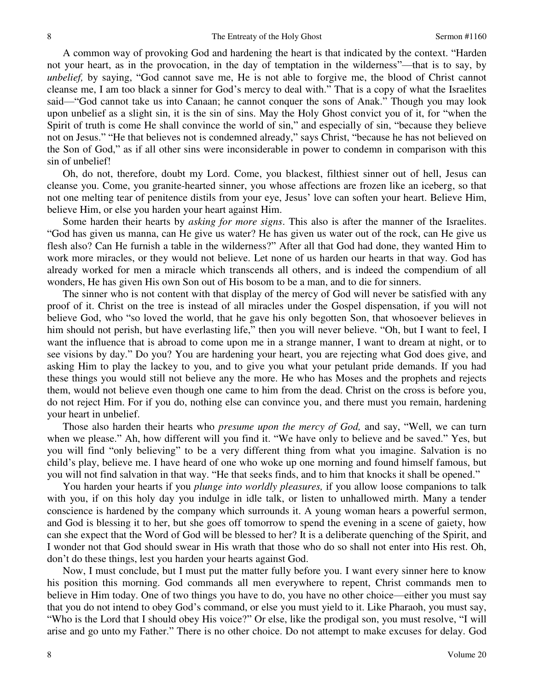A common way of provoking God and hardening the heart is that indicated by the context. "Harden not your heart, as in the provocation, in the day of temptation in the wilderness"—that is to say, by *unbelief,* by saying, "God cannot save me, He is not able to forgive me, the blood of Christ cannot cleanse me, I am too black a sinner for God's mercy to deal with." That is a copy of what the Israelites said—"God cannot take us into Canaan; he cannot conquer the sons of Anak." Though you may look upon unbelief as a slight sin, it is the sin of sins. May the Holy Ghost convict you of it, for "when the Spirit of truth is come He shall convince the world of sin," and especially of sin, "because they believe not on Jesus." "He that believes not is condemned already," says Christ, "because he has not believed on the Son of God," as if all other sins were inconsiderable in power to condemn in comparison with this sin of unbelief!

Oh, do not, therefore, doubt my Lord. Come, you blackest, filthiest sinner out of hell, Jesus can cleanse you. Come, you granite-hearted sinner, you whose affections are frozen like an iceberg, so that not one melting tear of penitence distils from your eye, Jesus' love can soften your heart. Believe Him, believe Him, or else you harden your heart against Him.

Some harden their hearts by *asking for more signs*. This also is after the manner of the Israelites. "God has given us manna, can He give us water? He has given us water out of the rock, can He give us flesh also? Can He furnish a table in the wilderness?" After all that God had done, they wanted Him to work more miracles, or they would not believe. Let none of us harden our hearts in that way. God has already worked for men a miracle which transcends all others, and is indeed the compendium of all wonders, He has given His own Son out of His bosom to be a man, and to die for sinners.

The sinner who is not content with that display of the mercy of God will never be satisfied with any proof of it. Christ on the tree is instead of all miracles under the Gospel dispensation, if you will not believe God, who "so loved the world, that he gave his only begotten Son, that whosoever believes in him should not perish, but have everlasting life," then you will never believe. "Oh, but I want to feel, I want the influence that is abroad to come upon me in a strange manner, I want to dream at night, or to see visions by day." Do you? You are hardening your heart, you are rejecting what God does give, and asking Him to play the lackey to you, and to give you what your petulant pride demands. If you had these things you would still not believe any the more. He who has Moses and the prophets and rejects them, would not believe even though one came to him from the dead. Christ on the cross is before you, do not reject Him. For if you do, nothing else can convince you, and there must you remain, hardening your heart in unbelief.

Those also harden their hearts who *presume upon the mercy of God,* and say, "Well, we can turn when we please." Ah, how different will you find it. "We have only to believe and be saved." Yes, but you will find "only believing" to be a very different thing from what you imagine. Salvation is no child's play, believe me. I have heard of one who woke up one morning and found himself famous, but you will not find salvation in that way. "He that seeks finds, and to him that knocks it shall be opened."

You harden your hearts if you *plunge into worldly pleasures,* if you allow loose companions to talk with you, if on this holy day you indulge in idle talk, or listen to unhallowed mirth. Many a tender conscience is hardened by the company which surrounds it. A young woman hears a powerful sermon, and God is blessing it to her, but she goes off tomorrow to spend the evening in a scene of gaiety, how can she expect that the Word of God will be blessed to her? It is a deliberate quenching of the Spirit, and I wonder not that God should swear in His wrath that those who do so shall not enter into His rest. Oh, don't do these things, lest you harden your hearts against God.

Now, I must conclude, but I must put the matter fully before you. I want every sinner here to know his position this morning. God commands all men everywhere to repent, Christ commands men to believe in Him today. One of two things you have to do, you have no other choice—either you must say that you do not intend to obey God's command, or else you must yield to it. Like Pharaoh, you must say, "Who is the Lord that I should obey His voice?" Or else, like the prodigal son, you must resolve, "I will arise and go unto my Father." There is no other choice. Do not attempt to make excuses for delay. God